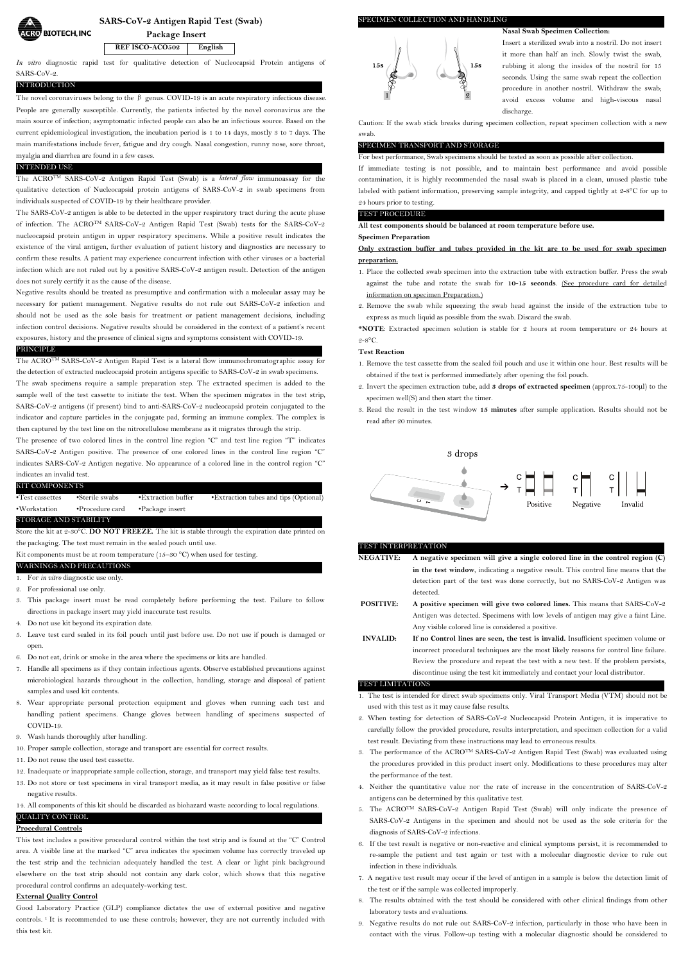

**SARS-CoV-2 Antigen Rapid Test (Swab)**

**Package Insert**

**REF ISCO-ACO502 English**

*In vitro* diagnostic rapid test for qualitative detection of Nucleocapsid Protein antigens of SARS-CoV-2.

#### INTRODUCTION

The novel coronaviruses belong to the  $\beta$  genus. COVID-19 is an acute respiratory infectious disease.<br>People are generally susceptible. Currently, the patients infected by the novel coronavirus are the main source of infection; asymptomatic infected people can also be an infectious source. Based on the current epidemiological investigation, the incubation period is 1 to 14 days, mostly 3 to 7 days. The main manifestations include fever, fatigue and dry cough. Nasal congestion, runny nose, sore throat, myalgia and diarrhea are found in <sup>a</sup> few cases.INTENDED USE

The ACROTM SARS-CoV-2 Antigen Rapid Test (Swab) is a *lateral flow* immunoassay for the qualitative detection of Nucleocapsid protein antigens of SARS-CoV-2 in swab specimens from individuals suspected of COVID-19 by their healthcare provider.<br>The SARS-CoV-2 antigen is able to be detected in the upper respiratory tract during the acute phase

of infection. The ACROTM SARS-CoV-2 Antigen Rapid Test (Swab) tests for the SARS-CoV-2 nucleocapsid protein antigen in upper respiratory specimens. While a positive result indicates the existence of the viral antigen, further evaluation of patient history and diagnostics are necessary to confirm these results. A patient may experience concurrent infection with other viruses or a bacterial infection which are not ruled out by a positive SARS-CoV-2 antigen result. Detection of the antigen does not surely certify it as the cause of the disease.

Negative results should be treated as presumptive and confirmation with a molecular assay may be necessary for patient management. Negative results do not rule out SARS-CoV-2 infection and should not be used as the sole basis for treatment or patient management decisions, including infection control decisions. Negative results should be considered in the context of a patient's recent exposures, history and the presence of clinical signs and symptoms consistent with COVID-19.

# PRINCIPLE

The ACROTM SARS-CoV-2 Antigen Rapid Test is a lateral flow immunochromatographic assay for the detection of extracted nucleocapsid protein antigens specific to SARS-CoV-2 in swab specimens. The swab specimens require a sample preparation step. The extracted specimen is added to the sample well of the test cassette to initiate the test. When the specimen migrates in the test strip, SARS-CoV-2 antigens (if present) bind to anti-SARS-CoV-2 nucleocapsid protein conjugated to the indicator and capture particles in the conjugate pad, forming an immune complex.The complex is then captured by the test line on the nitrocellulose membrane as it migrates through the strip.

The presence of two colored lines in the control line region "C" and test line region "T" indicates SARS-CoV-2 Antigen positive. The presence of one colored lines in the control line region "C" indicates SARS-CoV-2 Antigen negative. No appearance of a colored line in the control region "C" indicates an invalid test.

#### KIT COMPONENTS

| $\cdot$ Test cassettes | •Sterile swabs           | $\bullet$ Extraction buffer | • Extraction tubes and tips (Optional) |
|------------------------|--------------------------|-----------------------------|----------------------------------------|
| •Workstation           | $\bullet$ Procedure card | •Package insert             |                                        |
| STORAGE AND STABILITY  |                          |                             |                                        |

Store the kit at 2-30°C. **DO NOT FREEZE.** The kitis stable through the expiration date printed on the packaging. The test must remain in the sealed pouch until use.

Kit components must be at room temperature (15–30 °C) when used for testing. WARNINGS AND PRECAUTIONS

1. For *in vitro* diagnostic use only.<br>2. For professional use only.

- 3. This package insert must be read completely before performing the test. Failure to follow directions in package insert may yield inaccurate test results.
- 4. Do not use kit beyond its expiration date.
- 5. Leave test card sealed in its foil pouch until just before use. Do not use if pouch is damaged or open.
- 6. Do not eat, drink or smoke in the area where the specimens or kits are handled.
- 7. Handle all specimens as if they contain infectious agents. Observe established precautions against microbiological hazards throughout in the collection, handling, storage and disposal of patient samples and used kit contents.
- 8. Wear appropriate personal protection equipment and gloves when running each test and handling patient specimens. Change gloves between handling of specimens suspected of COVID-19.
- 9. Wash hands thoroughly after handling.
- 10. Proper sample collection, storage and transport are essential for correct results.
- 11. Do not reuse the used test cassette.
- 12. Inadequate or inappropriate sample collection, storage, and transport may yield false test results.
- 13. Do not store or test specimens in viral transport media, as itmay result in false positive or false negative results.

14. All components of this kit should be discarded as biohazard waste according to local regulations.

### QUALITY CONTROL **Procedural Controls**

This test includes a positive procedural control within the test strip and is found at the "C" Control area. A visible line at the marked "C" area indicates the specimen volume has correctly traveled up the test strip and the technician adequately handled the test. A clear or light pink background elsewhere on the test strip should not contain any dark color, which shows that this negative procedural control confirms an adequately-working test.

# **External Quality Control**

Good Laboratory Practice (GLP) compliance dictates the use of external positive and negative controls. <sup>1</sup> It is recommended to use these controls; however, they are not currently included with this test kit.

# SPECIMEN COLLECTION AND HANDLING



**Nasal Swab Specimen Collection:** Insert a sterilized swab into a nostril. Do not insert it more than half an inch. Slowly twist the swab, rubbing it along the insides of the nostril for 15 seconds. Using the same swab repeat the collection procedure in another nostril.Withdraw the swab; avoid excess volume and high-viscous nasal

discharge. Caution: If the swab stick breaks during specimen collection, repeat specimen collection with a new swab.

# SPECIMEN TRANSPORT AND STORAGE For best performance, Swab specimens should be tested as soon as possible after collection.

If immediate testing is not possible, and to maintain best performance and avoid possible contamination, it is highly recommended the nasal swab is placed in a clean, unused plastic tube labeled with patient information, preserving sample integrity, and capped tightly at 2-8°C for up to 24 hours prior to testing.

# TEST PROCEDURE

**All test components should bebalanced at room temperature before use.**

#### **Specimen Preparation**

**Only extraction buffer and tubes provided in the kitare to be used for swab specimen preparation.**

- 1. Place the collected swab specimen into the extraction tube with extraction buffer. Press the swab against the tube and rotate the swab for **10-15 seconds**. (See procedure card for detailed information on specimen Preparation.)
- 2. Remove the swab while squeezing the swab head against the inside of the extraction tube to express as much liquid as possible from the swab. Discard the swab.

**\*NOTE**: Extracted specimen solution is stable for 2 hours at room temperature or 24 hours at  $2 - 8^\circ \text{C}$ .

#### **Test Reaction**

- 1. Remove the test cassette from the sealed foil pouch and useit within one hour. Best results will be obtained if the test is performed immediately after opening the foil pouch.
- 2. Invert the specimen extraction tube, add **3 drops of extracted specimen** (approx.75-100μl) to the specimen well(S) and then start the timer.
- 3. Read the result in the testwindow **15 minutes** after sample application. Results should not be read after 20 minutes.



#### TEST INTERPRETATION

- **NEGATIVE: A negative specimen will give a single colored line in the control region (C) in the test window**, indicating a negative result. This control line means that the detection part of the test was done correctly, but no SARS-CoV-2 Antigen was detected.
- **POSITIVE: A positive specimen will give two colored lines.** This means that SARS-CoV-2 Antigen was detected. Specimens with low levels of antigen may give <sup>a</sup> faint Line.Any visible colored line is considered <sup>a</sup> positive.
- **INVALID: If no Control lines are seen, the test is invalid.** Insufficient specimen volume or incorrect procedural techniques are the most likely reasons for control line failure. Review the procedure and repeat the test with a new test.If the problem persists, discontinue using the test kit immediately and contact your local distributor.

#### TEST LIMITATIONS

- 1. The test is intended for direct swab specimens only. Viral Transport Media (VTM) should not be used with this test as it may cause false results.
- 2. When testing for detection of SARS-CoV-2 Nucleocapsid Protein Antigen, it is imperative to carefully follow the provided procedure, results interpretation, and specimen collection for a valid test result. Deviating from these instructions may lead to erroneous results.
- 3. The performance of the ACROTM SARS-CoV-2 Antigen Rapid Test (Swab) was evaluated using the procedures provided in this product insert only. Modifications to these procedures may alter the performance of the test.
- 4. Neither the quantitative value nor the rate of increase in the concentration of SARS-CoV-2 antigens can be determined by this qualitative test.
- 5. The ACROTM SARS-CoV-2 Antigen Rapid Test (Swab) will only indicate the presence of SARS-CoV-2 Antigens in the specimen and should not be used as the sole criteria for the diagnosis of SARS-CoV-2 infections.
- 6. If the test result is negative or non-reactive and clinical symptoms persist, it is recommended to re-sample the patient and test again or test with a molecular diagnostic device to rule out infection in these individuals.
- 7. A negative test result may occur if the level of antigen in asample is below the detection limit of the test or if the sample was collected improperly.
- 8. The results obtained with the test should be considered with other clinical findings from other laboratory tests and evaluations.
- 9. Negative results do not rule out SARS-CoV-2 infection, particularly in those who have been in contact with the virus. Follow-up testing with a molecular diagnostic should be considered to